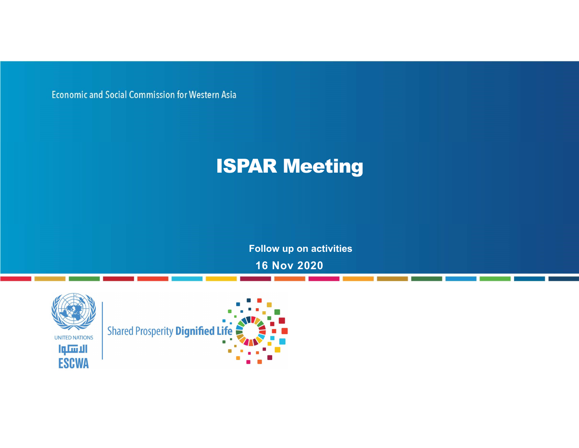**Economic and Social Commission for Western Asia** 

## ISPAR Meeting

Follow up on activities

16 Nov 2020



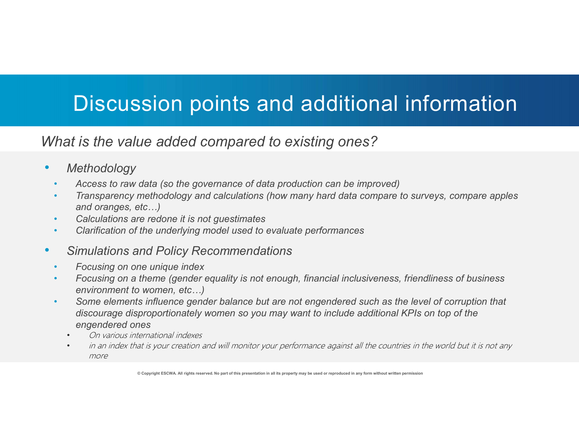# Discussion points and additional information

What is the value added compared to existing ones?

#### **Methodology**

- Access to raw data (so the governance of data production can be improved)
- Transparency methodology and calculations (how many hard data compare to surveys, compare apples and oranges, etc…)
- Calculations are redone it is not guestimates
- Clarification of the underlying model used to evaluate performances

### • Simulations and Policy Recommendations

- Focusing on one unique index
- Focusing on a theme (gender equality is not enough, financial inclusiveness, friendliness of business environment to women, etc…)
- Some elements influence gender balance but are not engendered such as the level of corruption that discourage disproportionately women so you may want to include additional KPIs on top of the engendered ones **Methodology**<br>
Access to raw data (so the governance of data production can be improved)<br>
Transparency methodology and calculations (how many hard data compare to surveys, compare apples<br>
Calculations are redone it is not
	- On various international indexes
	- more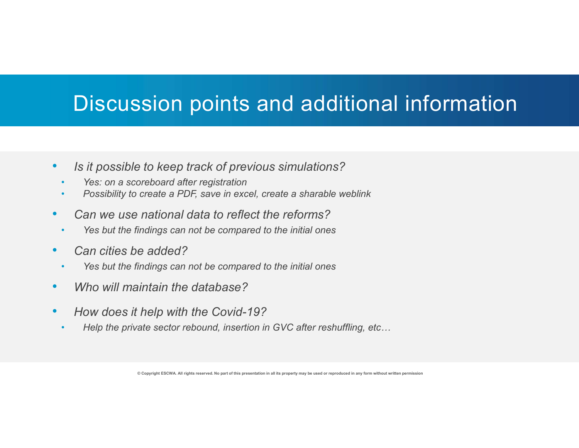# Discussion points and additional information **Discussion points and additional infor**<br> *is it possible to keep track of previous simulations?*<br>
• *Yes: on a scoreboard after registration*<br>
• *Possibility to create a PDF, save in excel, create a sharable weblink*<br>
Can **Discussion points and additional infor**<br> *Is it possible to keep track of previous simulations?*<br>
Yes: on a scoreboard after registration<br>
Possibility to create a PDF, save in excel, create a sharable weblink<br>
Can we use

- Is it possible to keep track of previous simulations?
	- Yes: on a scoreboard after registration
	- Possibility to create a PDF, save in excel, create a sharable weblink
- Can we use national data to reflect the reforms?
	-
- Can cities be added?
	-
- Who will maintain the database?
- How does it help with the Covid-19?
	- Help the private sector rebound, insertion in GVC after reshuffling, etc...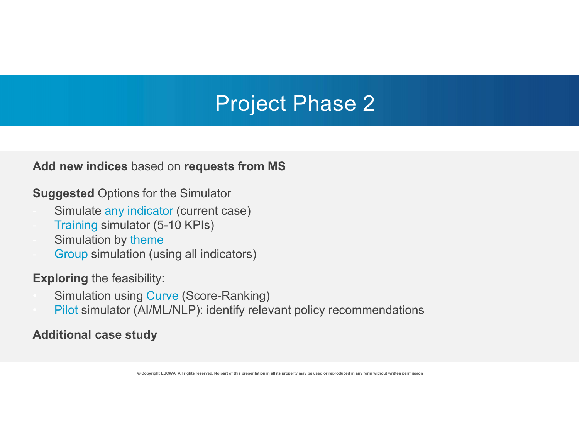# Project Phase 2

#### Add new indices based on requests from MS

Suggested Options for the Simulator

- Simulate any indicator (current case)
- Training simulator (5-10 KPIs)
- Simulation by theme
	- Group simulation (using all indicators)

- Exploring the feasibility: Simulation using Curve (Score-Ranking)
	- Pilot simulator (AI/ML/NLP): identify relevant policy recommendations

#### Additional case study